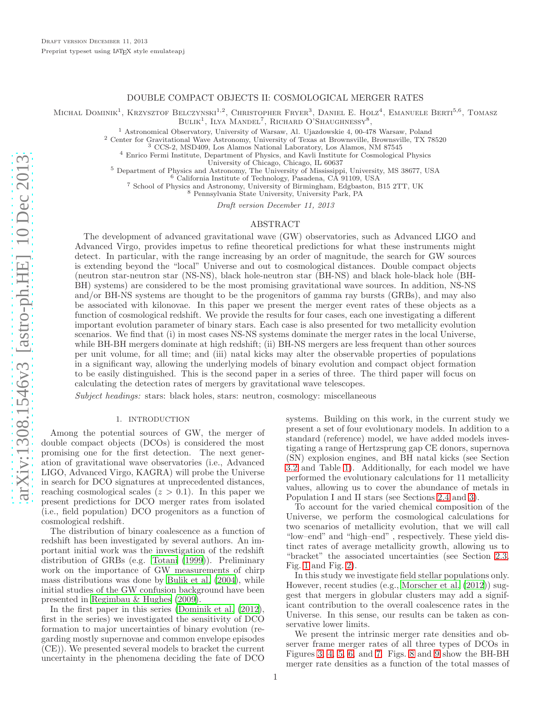# DOUBLE COMPACT OBJECTS II: COSMOLOGICAL MERGER RATES

MICHAL DOMINIK<sup>1</sup>, KRZYSZTOF BELCZYNSKI<sup>1,2</sup>, CHRISTOPHER FRYER<sup>3</sup>, DANIEL E. HOLZ<sup>4</sup>, EMANUELE BERTI<sup>5,6</sup>, TOMASZ<br>BULIK<sup>1</sup>, ILYA MANDEL<sup>7</sup>, RICHARD O'SHAUGHNESSY<sup>8</sup>,

<sup>1</sup> Astronomical Observatory, University of Warsaw, Al. Ujazdowskie 4, 00-478 Warsaw, Poland

<sup>2</sup> Center for Gravitational Wave Astronomy, University of Texas at Brownsville, Brownsville, TX 78520

<sup>3</sup> CCS-2, MSD409, Los Alamos National Laboratory, Los Alamos, NM 87545

<sup>4</sup> Enrico Fermi Institute, Department of Physics, and Kavli Institute for Cosmological Physics University of Chicago, Chicago, IL 60637

<sup>5</sup> Department of Physics and Astronomy, The University of Mississippi, University, MS 38677, USA

<sup>6</sup> California Institute of Technology, Pasadena, CA 91109, USA

<sup>7</sup> School of Physics and Astronomy, University of Birmingham, Edgbaston, B15 2TT, UK

<sup>8</sup> Pennsylvania State University, University Park, PA

Draft version December 11, 2013

## ABSTRACT

The development of advanced gravitational wave (GW) observatories, such as Advanced LIGO and Advanced Virgo, provides impetus to refine theoretical predictions for what these instruments might detect. In particular, with the range increasing by an order of magnitude, the search for GW sources is extending beyond the "local" Universe and out to cosmological distances. Double compact objects (neutron star-neutron star (NS-NS), black hole-neutron star (BH-NS) and black hole-black hole (BH-BH) systems) are considered to be the most promising gravitational wave sources. In addition, NS-NS and/or BH-NS systems are thought to be the progenitors of gamma ray bursts (GRBs), and may also be associated with kilonovae. In this paper we present the merger event rates of these objects as a function of cosmological redshift. We provide the results for four cases, each one investigating a different important evolution parameter of binary stars. Each case is also presented for two metallicity evolution scenarios. We find that (i) in most cases NS-NS systems dominate the merger rates in the local Universe, while BH-BH mergers dominate at high redshift; (ii) BH-NS mergers are less frequent than other sources per unit volume, for all time; and (iii) natal kicks may alter the observable properties of populations in a significant way, allowing the underlying models of binary evolution and compact object formation to be easily distinguished. This is the second paper in a series of three. The third paper will focus on calculating the detection rates of mergers by gravitational wave telescopes.

Subject headings: stars: black holes, stars: neutron, cosmology: miscellaneous

#### 1. INTRODUCTION

Among the potential sources of GW, the merger of double compact objects (DCOs) is considered the most promising one for the first detection. The next generation of gravitational wave observatories (i.e., Advanced LIGO, Advanced Virgo, KAGRA) will probe the Universe in search for DCO signatures at unprecedented distances, reaching cosmological scales  $(z > 0.1)$ . In this paper we present predictions for DCO merger rates from isolated (i.e., field population) DCO progenitors as a function of cosmological redshift.

The distribution of binary coalescence as a function of redshift has been investigated by several authors. An important initial work was the investigation of the redshift distribution of GRBs (e.g. [Totani \(1999\)](#page-8-0)). Preliminary work on the importance of GW measurements of chirp mass distributions was done by [Bulik et al. \(2004](#page-8-1)), while initial studies of the GW confusion background have been presented in [Regimbau & Hughes \(2009\)](#page-8-2).

In the first paper in this series [\(Dominik et al. \(2012\)](#page-8-3), first in the series) we investigated the sensitivity of DCO formation to major uncertainties of binary evolution (regarding mostly supernovae and common envelope episodes (CE)). We presented several models to bracket the current uncertainty in the phenomena deciding the fate of DCO systems. Building on this work, in the current study we present a set of four evolutionary models. In addition to a standard (reference) model, we have added models investigating a range of Hertzsprung gap CE donors, supernova (SN) explosion engines, and BH natal kicks (see Section [3.2](#page-2-0) and Table [1\)](#page-9-0). Additionally, for each model we have performed the evolutionary calculations for 11 metallicity values, allowing us to cover the abundance of metals in Population I and II stars (see Sections [2.4](#page-1-0) and [3\)](#page-2-1).

To account for the varied chemical composition of the Universe, we perform the cosmological calculations for two scenarios of metallicity evolution, that we will call "low–end" and "high–end" , respectively. These yield distinct rates of average metallicity growth, allowing us to "bracket" the associated uncertainties (see Section [2.3,](#page-1-1) Fig. [1](#page-10-0) and Fig. [2\)](#page-11-0).

In this study we investigate field stellar populations only. However, recent studies (e.g., [Morscher et al. \(2012\)](#page-8-4)) suggest that mergers in globular clusters may add a significant contribution to the overall coalescence rates in the Universe. In this sense, our results can be taken as conservative lower limits.

We present the intrinsic merger rate densities and observer frame merger rates of all three types of DCOs in Figures [3,](#page-12-0) [4,](#page-13-0) [5,](#page-14-0) [6,](#page-15-0) and [7.](#page-16-0) Figs. [8](#page-17-0) and [9](#page-18-0) show the BH-BH merger rate densities as a function of the total masses of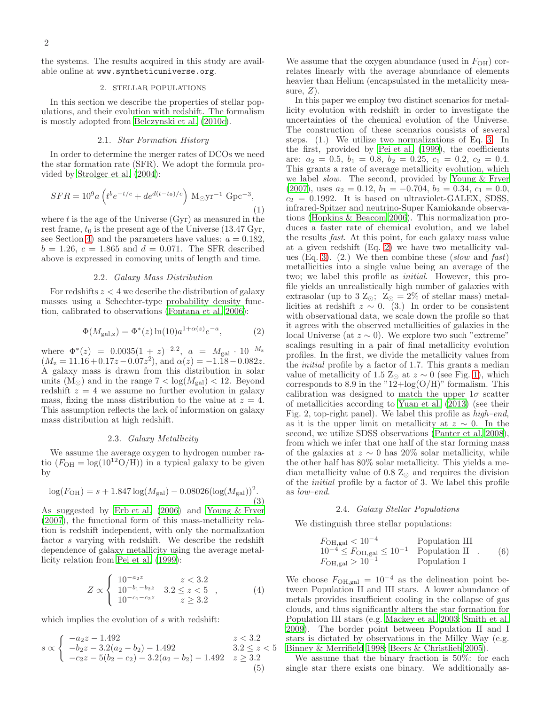the systems. The results acquired in this study are available online at www.syntheticuniverse.org.

### 2. STELLAR POPULATIONS

In this section we describe the properties of stellar populations, and their evolution with redshift. The formalism is mostly adopted from [Belczynski et al. \(2010c\)](#page-8-5).

#### 2.1. Star Formation History

In order to determine the merger rates of DCOs we need the star formation rate (SFR). We adopt the formula provided by [Strolger et al. \(2004](#page-8-6)):

<span id="page-1-4"></span>
$$
SFR = 10^{9} a \left( t^{b} e^{-t/c} + d e^{d(t-t_0)/c} \right) \, \text{M}_{\odot} \text{yr}^{-1} \, \text{Gpc}^{-3},\tag{1}
$$

where  $t$  is the age of the Universe (Gyr) as measured in the rest frame,  $t_0$  is the present age of the Universe (13.47 Gyr, see Section [4\)](#page-3-0) and the parameters have values:  $a = 0.182$ ,  $b = 1.26, c = 1.865$  and  $d = 0.071$ . The SFR described above is expressed in comoving units of length and time.

### 2.2. Galaxy Mass Distribution

For redshifts  $z < 4$  we describe the distribution of galaxy masses using a Schechter-type probability density function, calibrated to observations [\(Fontana et al. 2006](#page-8-7)):

<span id="page-1-3"></span>
$$
\Phi(M_{\text{gal,z}}) = \Phi^*(z) \ln(10) a^{1+\alpha(z)} e^{-a},\tag{2}
$$

where  $\Phi^*(z) = 0.0035(1+z)^{-2.2}$ ,  $a = M_{\text{gal}} \cdot 10^{-M_z}$  $(M_{z} = 11.16 + 0.17z - 0.07z^{2}), \text{ and } \alpha(z) = -1.18 - 0.082z.$ A galaxy mass is drawn from this distribution in solar units  $(M_{\odot})$  and in the range  $7 < log(M_{gal}) < 12$ . Beyond redshift  $z = 4$  we assume no further evolution in galaxy mass, fixing the mass distribution to the value at  $z = 4$ . This assumption reflects the lack of information on galaxy mass distribution at high redshift.

#### 2.3. Galaxy Metallicity

<span id="page-1-1"></span>We assume the average oxygen to hydrogen number ratio  $(F<sub>OH</sub> = log(10<sup>12</sup>O/H))$  in a typical galaxy to be given by

<span id="page-1-2"></span>
$$
\log(F_{\text{OH}}) = s + 1.847 \log(M_{\text{gal}}) - 0.08026(\log(M_{\text{gal}}))^2. \tag{3}
$$

As suggested by [Erb et al. \(2006](#page-8-8)) and [Young & Fryer](#page-8-9) [\(2007](#page-8-9)), the functional form of this mass-metallicity relation is redshift independent, with only the normalization factor s varying with redshift. We describe the redshift dependence of galaxy metallicity using the average metallicity relation from [Pei et al. \(1999\)](#page-8-10):

$$
Z \propto \begin{cases} 10^{-a_2 z} & z < 3.2 \\ 10^{-b_1 - b_2 z} & 3.2 \le z < 5 \\ 10^{-c_1 - c_2 z} & z \ge 3.2 \end{cases}, \tag{4}
$$

which implies the evolution of s with redshift:

$$
s \propto \begin{cases}\n-a_2 z - 1.492 & z < 3.2 \\
-b_2 z - 3.2(a_2 - b_2) - 1.492 & 3.2 \le z < 5 \\
-c_2 z - 5(b_2 - c_2) - 3.2(a_2 - b_2) - 1.492 & z \ge 3.2\n\end{cases}
$$
\n(5)

We assume that the oxygen abundance (used in  $F_{\text{OH}}$ ) correlates linearly with the average abundance of elements heavier than Helium (encapsulated in the metallicity measure,  $Z$ ).

In this paper we employ two distinct scenarios for metallicity evolution with redshift in order to investigate the uncertainties of the chemical evolution of the Universe. The construction of these scenarios consists of several steps. (1.) We utilize two normalizations of Eq. [3.](#page-1-2) In the first, provided by [Pei et al. \(1999\)](#page-8-10), the coefficients are:  $a_2 = 0.5, b_1 = 0.8, b_2 = 0.25, c_1 = 0.2, c_2 = 0.4.$ This grants a rate of average metallicity evolution, which we label slow. The second, provided by [Young & Fryer](#page-8-9) [\(2007](#page-8-9)), uses  $a_2 = 0.12$ ,  $b_1 = -0.704$ ,  $b_2 = 0.34$ ,  $c_1 = 0.0$ ,  $c_2 = 0.1992$ . It is based on ultraviolet-GALEX, SDSS, infrared-Spitzer and neutrino-Super Kamiokande observations [\(Hopkins & Beacom 2006](#page-8-11)). This normalization produces a faster rate of chemical evolution, and we label the results fast. At this point, for each galaxy mass value at a given redshift (Eq. [2\)](#page-1-3) we have two metallicity val-ues (Eq. [3\)](#page-1-2). (2.) We then combine these (slow and fast) metallicities into a single value being an average of the two; we label this profile as initial. However, this profile yields an unrealistically high number of galaxies with extrasolar (up to 3  $Z_{\odot}$ ;  $Z_{\odot} = 2\%$  of stellar mass) metallicities at redshift  $z \sim 0$ . (3.) In order to be consistent with observational data, we scale down the profile so that it agrees with the observed metallicities of galaxies in the local Universe (at  $z \sim 0$ ). We explore two such "extreme" scalings resulting in a pair of final metallicity evolution profiles. In the first, we divide the metallicity values from the initial profile by a factor of 1.7. This grants a median value of metallicity of 1.5 Z<sub>⊙</sub> at  $z \sim 0$  (see Fig. [1\)](#page-10-0), which corresponds to 8.9 in the " $12 + \log(O/H)$ " formalism. This calibration was designed to match the upper  $1\sigma$  scatter of metallicities according to [Yuan et al. \(2013\)](#page-8-12) (see their Fig. 2, top-right panel). We label this profile as high–end, as it is the upper limit on metallicity at  $z \sim 0$ . In the second, we utilize SDSS observations [\(Panter et al. 2008\)](#page-8-13), from which we infer that one half of the star forming mass of the galaxies at  $z \sim 0$  has 20% solar metallicity, while the other half has 80% solar metallicity. This yields a median metallicity value of 0.8  $\mathbb{Z}_{\odot}$  and requires the division of the initial profile by a factor of 3. We label this profile as low–end.

## 2.4. Galaxy Stellar Populations

<span id="page-1-0"></span>We distinguish three stellar populations:

$$
F_{\text{OH,gal}} < 10^{-4}
$$
 Population III  
\n $10^{-4} \leq F_{\text{OH,gal}} \leq 10^{-1}$  Population II . (6)  
\n $F_{\text{OH,gal}} > 10^{-1}$  Population I

We choose  $F_{\text{OH,gal}} = 10^{-4}$  as the delineation point between Population II and III stars. A lower abundance of metals provides insufficient cooling in the collapse of gas clouds, and thus significantly alters the star formation for Population III stars (e.g. [Mackey et al. 2003;](#page-8-14) [Smith et al.](#page-8-15) [2009\)](#page-8-15). The border point between Population II and I stars is dictated by observations in the Milky Way (e.g. [Binney & Merrifield 1998](#page-8-16); [Beers & Christlieb 2005\)](#page-8-17).

We assume that the binary fraction is 50%: for each single star there exists one binary. We additionally as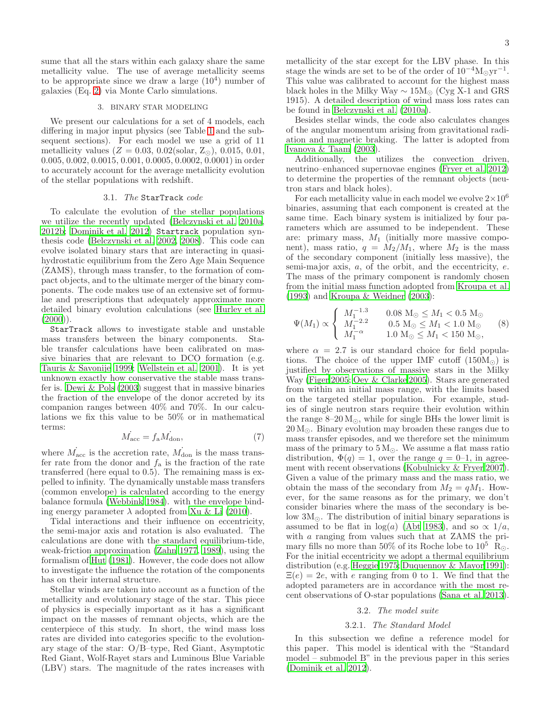sume that all the stars within each galaxy share the same metallicity value. The use of average metallicity seems to be appropriate since we draw a large  $(10^4)$  number of galaxies (Eq. [2\)](#page-1-3) via Monte Carlo simulations.

## 3. BINARY STAR MODELING

<span id="page-2-1"></span>We present our calculations for a set of 4 models, each differing in major input physics (see Table [1](#page-9-0) and the subsequent sections). For each model we use a grid of 11 metallicity values ( $Z = 0.03, 0.02$ (solar,  $Z_{\odot}$ ), 0.015, 0.01, 0.005, 0.002, 0.0015, 0.001, 0.0005, 0.0002, 0.0001) in order to accurately account for the average metallicity evolution of the stellar populations with redshift.

## 3.1. The StarTrack code

To calculate the evolution of the stellar populations we utilize the recently updated [\(Belczynski et al. 2010a,](#page-8-18) [2012b](#page-8-19); [Dominik et al. 2012](#page-8-3)) Startrack population synthesis code [\(Belczynski et al. 2002](#page-8-20), [2008\)](#page-8-21). This code can evolve isolated binary stars that are interacting in quasihydrostatic equilibrium from the Zero Age Main Sequence (ZAMS), through mass transfer, to the formation of compact objects, and to the ultimate merger of the binary components. The code makes use of an extensive set of formulae and prescriptions that adequately approximate more detailed binary evolution calculations (see [Hurley et al.](#page-8-22)  $(2000)$  $(2000)$ ).

StarTrack allows to investigate stable and unstable mass transfers between the binary components. Stable transfer calculations have been calibrated on massive binaries that are relevant to DCO formation (e.g. [Tauris & Savonije 1999;](#page-8-23) [Wellstein et al. 2001\)](#page-8-24). It is yet unknown exactly how conservative the stable mass transfer is. [Dewi & Pols \(2003](#page-8-25)) suggest that in massive binaries the fraction of the envelope of the donor accreted by its companion ranges between 40% and 70%. In our calculations we fix this value to be 50% or in mathematical terms:

$$
\dot{M}_{\rm acc} = f_{\rm a} \dot{M}_{\rm don},\tag{7}
$$

where  $\dot{M}_{\rm acc}$  is the accretion rate,  $\dot{M}_{\rm don}$  is the mass transfer rate from the donor and  $f_a$  is the fraction of the rate transferred (here equal to 0.5). The remaining mass is expelled to infinity. The dynamically unstable mass transfers (common envelope) is calculated according to the energy balance formula [\(Webbink 1984\)](#page-8-26). with the envelope binding energy parameter  $\lambda$  adopted from [Xu & Li \(2010\)](#page-8-27).

Tidal interactions and their influence on eccentricity, the semi-major axis and rotation is also evaluated. The calculations are done with the standard equilibrium-tide, weak-friction approximation [\(Zahn 1977,](#page-8-28) [1989\)](#page-8-29), using the formalism of [Hut \(1981\)](#page-8-30). However, the code does not allow to investigate the influence the rotation of the components has on their internal structure.

Stellar winds are taken into account as a function of the metallicity and evolutionary stage of the star. This piece of physics is especially important as it has a significant impact on the masses of remnant objects, which are the centerpiece of this study. In short, the wind mass loss rates are divided into categories specific to the evolutionary stage of the star: O/B–type, Red Giant, Asymptotic Red Giant, Wolf-Rayet stars and Luminous Blue Variable (LBV) stars. The magnitude of the rates increases with metallicity of the star except for the LBV phase. In this stage the winds are set to be of the order of  $10^{-4}M_{\odot}yr^{-1}$ . This value was calibrated to account for the highest mass black holes in the Milky Way  $\sim 15M_{\odot}$  (Cyg X-1 and GRS 1915). A detailed description of wind mass loss rates can be found in [Belczynski et al. \(2010a\)](#page-8-18).

Besides stellar winds, the code also calculates changes of the angular momentum arising from gravitational radiation and magnetic braking. The latter is adopted from [Ivanova & Taam \(2003\)](#page-8-31).

Additionally, the utilizes the convection driven, neutrino–enhanced supernovae engines [\(Fryer et al. 2012\)](#page-8-32) to determine the properties of the remnant objects (neutron stars and black holes).

For each metallicity value in each model we evolve  $2\times10^6$ binaries, assuming that each component is created at the same time. Each binary system is initialized by four parameters which are assumed to be independent. These are: primary mass,  $M_1$  (initially more massive component), mass ratio,  $q = M_2/M_1$ , where  $M_2$  is the mass of the secondary component (initially less massive), the semi-major axis,  $a$ , of the orbit, and the eccentricity,  $e$ . The mass of the primary component is randomly chosen from the initial mass function adopted from [Kroupa et al.](#page-8-33) [\(1993](#page-8-33)) and [Kroupa & Weidner \(2003](#page-8-34)):

$$
\Psi(M_1) \propto \begin{cases}\nM_1^{-1.3} & 0.08 \text{ M}_{\odot} \leq M_1 < 0.5 \text{ M}_{\odot} \\
M_1^{-2.2} & 0.5 \text{ M}_{\odot} \leq M_1 < 1.0 \text{ M}_{\odot} \\
M_1^{-\alpha} & 1.0 \text{ M}_{\odot} \leq M_1 < 150 \text{ M}_{\odot},\n\end{cases}
$$
\n(8)

where  $\alpha = 2.7$  is our standard choice for field populations. The choice of the upper IMF cutoff  $(150M_{\odot})$  is justified by observations of massive stars in the Milky Way [\(Figer 2005;](#page-8-35) [Oey & Clarke 2005\)](#page-8-36). Stars are generated from within an initial mass range, with the limits based on the targeted stellar population. For example, studies of single neutron stars require their evolution within the range  $8-20 M_{\odot}$ , while for single BHs the lower limit is  $20 M_{\odot}$ . Binary evolution may broaden these ranges due to mass transfer episodes, and we therefore set the minimum mass of the primary to  $5 M_{\odot}$ . We assume a flat mass ratio distribution,  $\Phi(q) = 1$ , over the range  $q = 0$ –1, in agreement with recent observations [\(Kobulnicky & Fryer 2007\)](#page-8-37). Given a value of the primary mass and the mass ratio, we obtain the mass of the secondary from  $M_2 = qM_1$ . However, for the same reasons as for the primary, we don't consider binaries where the mass of the secondary is below  $3M_{\odot}$ . The distribution of initial binary separations is assumed to be flat in  $log(a)$  [\(Abt 1983](#page-8-38)), and so  $\propto 1/a$ , with a ranging from values such that at ZAMS the primary fills no more than 50% of its Roche lobe to  $10^5$  R<sub>☉</sub>. For the initial eccentricity we adopt a thermal equilibrium distribution (e.g. [Heggie 1975;](#page-8-39) [Duquennoy & Mayor 1991\)](#page-8-40):  $\Xi(e) = 2e$ , with e ranging from 0 to 1. We find that the adopted parameters are in accordance with the most recent observations of O-star populations [\(Sana et al. 2013\)](#page-8-41).

## 3.2. The model suite

#### 3.2.1. The Standard Model

<span id="page-2-2"></span><span id="page-2-0"></span>In this subsection we define a reference model for this paper. This model is identical with the "Standard model – submodel B" in the previous paper in this series [\(Dominik et al. 2012](#page-8-3)).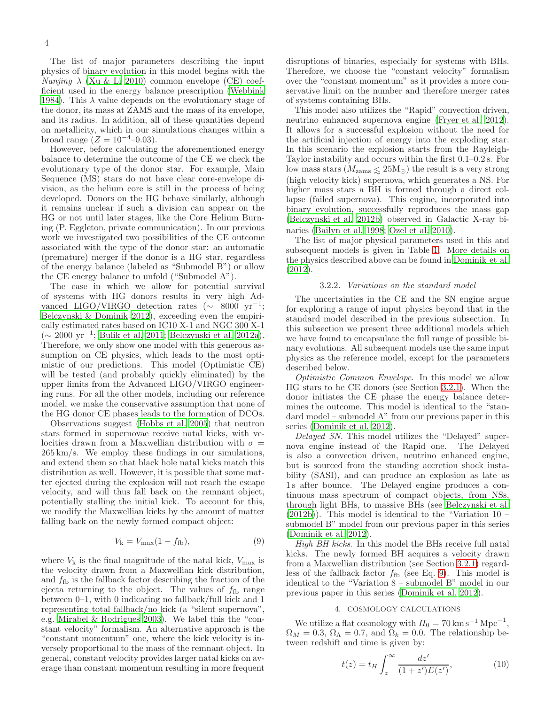The list of major parameters describing the input physics of binary evolution in this model begins with the  $Nanging \lambda$  [\(Xu & Li 2010\)](#page-8-27) common envelope (CE) coefficient used in the energy balance prescription [\(Webbink](#page-8-26) [1984\)](#page-8-26). This  $\lambda$  value depends on the evolutionary stage of the donor, its mass at ZAMS and the mass of its envelope, and its radius. In addition, all of these quantities depend on metallicity, which in our simulations changes within a broad range  $(Z = 10^{-4} - 0.03)$ .

However, before calculating the aforementioned energy balance to determine the outcome of the CE we check the evolutionary type of the donor star. For example, Main Sequence (MS) stars do not have clear core-envelope division, as the helium core is still in the process of being developed. Donors on the HG behave similarly, although it remains unclear if such a division can appear on the HG or not until later stages, like the Core Helium Burning (P. Eggleton, private communication). In our previous work we investigated two possibilities of the CE outcome associated with the type of the donor star: an automatic (premature) merger if the donor is a HG star, regardless of the energy balance (labeled as "Submodel B") or allow the CE energy balance to unfold ("Submodel A").

The case in which we allow for potential survival of systems with HG donors results in very high Advanced LIGO/VIRGO detection rates ( $\sim$  8000 yr<sup>-1</sup>; [Belczynski & Dominik 2012\)](#page-8-42), exceeding even the empirically estimated rates based on IC10 X-1 and NGC 300 X-1 (∼ 2000 yr<sup>−</sup><sup>1</sup> ; [Bulik et al. 2011](#page-8-43); [Belczynski et al. 2012a\)](#page-8-44). Therefore, we only show one model with this generous assumption on CE physics, which leads to the most optimistic of our predictions. This model (Optimistic CE) will be tested (and probably quickly eliminated) by the upper limits from the Advanced LIGO/VIRGO engineering runs. For all the other models, including our reference model, we make the conservative assumption that none of the HG donor CE phases leads to the formation of DCOs.

Observations suggest [\(Hobbs et al. 2005\)](#page-8-45) that neutron stars formed in supernovae receive natal kicks, with velocities drawn from a Maxwellian distribution with  $\sigma =$ 265 km/s. We employ these findings in our simulations, and extend them so that black hole natal kicks match this distribution as well. However, it is possible that some matter ejected during the explosion will not reach the escape velocity, and will thus fall back on the remnant object, potentially stalling the initial kick. To account for this, we modify the Maxwellian kicks by the amount of matter falling back on the newly formed compact object:

<span id="page-3-1"></span>
$$
V_{\mathbf{k}} = V_{\text{max}}(1 - f_{\text{fb}}),\tag{9}
$$

where  $V_k$  is the final magnitude of the natal kick,  $V_{\text{max}}$  is the velocity drawn from a Maxwellian kick distribution, and  $f_{\text{fb}}$  is the fallback factor describing the fraction of the ejecta returning to the object. The values of  $f_{\text{fb}}$  range between 0–1, with 0 indicating no fallback/full kick and 1 representing total fallback/no kick (a "silent supernova", e.g. [Mirabel & Rodrigues 2003](#page-8-46)). We label this the "constant velocity" formalism. An alternative approach is the "constant momentum" one, where the kick velocity is inversely proportional to the mass of the remnant object. In general, constant velocity provides larger natal kicks on average than constant momentum resulting in more frequent

disruptions of binaries, especially for systems with BHs. Therefore, we choose the "constant velocity" formalism over the "constant momentum" as it provides a more conservative limit on the number and therefore merger rates of systems containing BHs.

This model also utilizes the "Rapid" convection driven, neutrino enhanced supernova engine [\(Fryer et al. 2012\)](#page-8-32). It allows for a successful explosion without the need for the artificial injection of energy into the exploding star. In this scenario the explosion starts from the Rayleigh-Taylor instability and occurs within the first 0.1–0.2 s. For low mass stars ( $M_{\text{zams}} \leq 25 \text{M}_{\odot}$ ) the result is a very strong (high velocity kick) supernova, which generates a NS. For higher mass stars a BH is formed through a direct collapse (failed supernova). This engine, incorporated into binary evolution, successfully reproduces the mass gap [\(Belczynski et al. 2012b\)](#page-8-19) observed in Galactic X-ray bi-naries [\(Bailyn et al. 1998;](#page-8-47) Özel et al. 2010).

The list of major physical parameters used in this and subsequent models is given in Table [1.](#page-9-0) More details on the physics described above can be found in [Dominik et al.](#page-8-3) [\(2012](#page-8-3)).

#### 3.2.2. Variations on the standard model

<span id="page-3-2"></span>The uncertainties in the CE and the SN engine argue for exploring a range of input physics beyond that in the standard model described in the previous subsection. In this subsection we present three additional models which we have found to encapsulate the full range of possible binary evolutions. All subsequent models use the same input physics as the reference model, except for the parameters described below.

Optimistic Common Envelope. In this model we allow HG stars to be CE donors (see Section [3.2.1\)](#page-2-2). When the donor initiates the CE phase the energy balance determines the outcome. This model is identical to the "standard model – submodel A" from our previous paper in this series [\(Dominik et al. 2012\)](#page-8-3).

Delayed SN. This model utilizes the "Delayed" supernova engine instead of the Rapid one. The Delayed is also a convection driven, neutrino enhanced engine, but is sourced from the standing accretion shock instability (SASI), and can produce an explosion as late as 1 s after bounce. The Delayed engine produces a continuous mass spectrum of compact objects, from NSs, through light BHs, to massive BHs (see [Belczynski et al.](#page-8-19)  $(2012b)$ ). This model is identical to the "Variation 10 – submodel B" model from our previous paper in this series [\(Dominik et al. 2012](#page-8-3)).

High BH kicks. In this model the BHs receive full natal kicks. The newly formed BH acquires a velocity drawn from a Maxwellian distribution (see Section [3.2.1\)](#page-2-2) regardless of the fallback factor  $f_{\text{fb}}$  (see Eq. [9\)](#page-3-1). This model is identical to the "Variation 8 – submodel B" model in our previous paper in this series [\(Dominik et al. 2012\)](#page-8-3).

## 4. COSMOLOGY CALCULATIONS

<span id="page-3-0"></span>We utilize a flat cosmology with  $H_0 = 70 \text{ km s}^{-1} \text{ Mpc}^{-1}$ ,  $\Omega_M = 0.3$ ,  $\Omega_{\Lambda} = 0.7$ , and  $\widetilde{\Omega}_k = 0.0$ . The relationship between redshift and time is given by:

$$
t(z) = t_H \int_z^{\infty} \frac{dz'}{(1+z')E(z')},\tag{10}
$$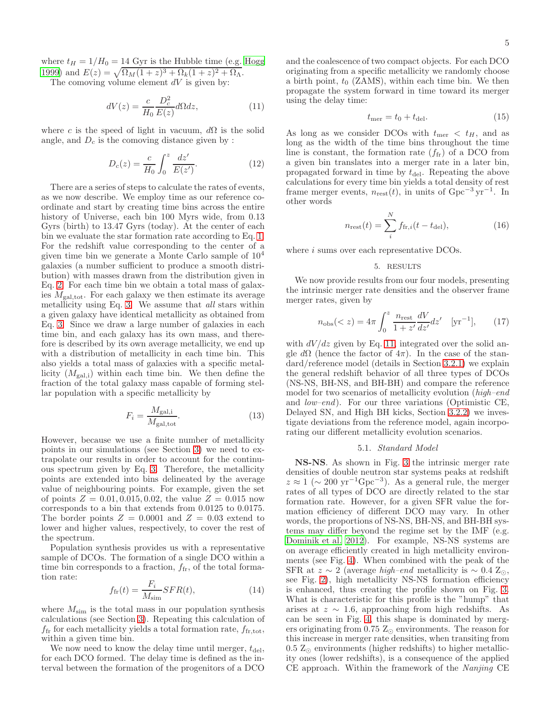where  $t_H = 1/H_0 = 14$  Gyr is the Hubble time (e.g. [Hogg](#page-8-49) [1999\)](#page-8-49) and  $E(z) = \sqrt{\Omega_M (1+z)^3 + \Omega_k (1+z)^2 + \Omega_\Lambda}.$ 

The comoving volume element  $dV$  is given by:

<span id="page-4-0"></span>
$$
dV(z) = \frac{c}{H_0} \frac{D_c^2}{E(z)} d\Omega dz, \qquad (11)
$$

where c is the speed of light in vacuum,  $d\Omega$  is the solid angle, and  $D_c$  is the comoving distance given by :

$$
D_c(z) = \frac{c}{H_0} \int_0^z \frac{dz'}{E(z')}.
$$
 (12)

There are a series of steps to calculate the rates of events, as we now describe. We employ time as our reference coordinate and start by creating time bins across the entire history of Universe, each bin 100 Myrs wide, from 0.13 Gyrs (birth) to 13.47 Gyrs (today). At the center of each bin we evaluate the star formation rate according to Eq. [1.](#page-1-4) For the redshift value corresponding to the center of a given time bin we generate a Monte Carlo sample of  $10<sup>4</sup>$ galaxies (a number sufficient to produce a smooth distribution) with masses drawn from the distribution given in Eq. [2.](#page-1-3) For each time bin we obtain a total mass of galaxies  $M_{\text{gal,tot}}$ . For each galaxy we then estimate its average metallicity using Eq. [3.](#page-1-2) We assume that all stars within a given galaxy have identical metallicity as obtained from Eq. [3.](#page-1-2) Since we draw a large number of galaxies in each time bin, and each galaxy has its own mass, and therefore is described by its own average metallicity, we end up with a distribution of metallicity in each time bin. This also yields a total mass of galaxies with a specific metallicity  $(M_{\text{gal,i}})$  within each time bin. We then define the fraction of the total galaxy mass capable of forming stellar population with a specific metallicity by

$$
F_i = \frac{M_{\text{gal,i}}}{M_{\text{gal,tot}}}.\tag{13}
$$

However, because we use a finite number of metallicity points in our simulations (see Section [3\)](#page-2-1) we need to extrapolate our results in order to account for the continuous spectrum given by Eq. [3.](#page-1-2) Therefore, the metallicity points are extended into bins delineated by the average value of neighbouring points. For example, given the set of points  $Z = 0.01, 0.015, 0.02$ , the value  $Z = 0.015$  now corresponds to a bin that extends from 0.0125 to 0.0175. The border points  $Z = 0.0001$  and  $Z = 0.03$  extend to lower and higher values, respectively, to cover the rest of the spectrum.

Population synthesis provides us with a representative sample of DCOs. The formation of a single DCO within a time bin corresponds to a fraction,  $f_{\text{fr}}$ , of the total formation rate:

$$
f_{\rm fr}(t) = \frac{F_i}{M_{\rm sim}} SFR(t),\tag{14}
$$

where  $M_{\text{sim}}$  is the total mass in our population synthesis calculations (see Section [3\)](#page-2-1). Repeating this calculation of  $f_{\rm fr}$  for each metallicity yields a total formation rate,  $f_{\rm fr,tot}$ , within a given time bin.

We now need to know the delay time until merger,  $t_{\text{del}}$ , for each DCO formed. The delay time is defined as the interval between the formation of the progenitors of a DCO and the coalescence of two compact objects. For each DCO originating from a specific metallicity we randomly choose a birth point,  $t_0$  (ZAMS), within each time bin. We then propagate the system forward in time toward its merger using the delay time:

$$
t_{\text{mer}} = t_0 + t_{\text{del}}.\tag{15}
$$

As long as we consider DCOs with  $t_{\rm mer} < t_H$ , and as long as the width of the time bins throughout the time line is constant, the formation rate  $(f_{\text{fr}})$  of a DCO from a given bin translates into a merger rate in a later bin, propagated forward in time by  $t_{\text{del}}$ . Repeating the above calculations for every time bin yields a total density of rest frame merger events,  $n_{\text{rest}}(t)$ , in units of  $\text{Gpc}^{-3}\,\text{yr}^{-1}$ . In other words

$$
n_{\text{rest}}(t) = \sum_{i}^{N} f_{\text{fr},i}(t - t_{\text{del}}),
$$
 (16)

where *i* sums over each representative DCOs.

#### 5. RESULTS

We now provide results from our four models, presenting the intrinsic merger rate densities and the observer frame merger rates, given by

$$
n_{\rm obs}(
$$

with  $dV/dz$  given by Eq. [11,](#page-4-0) integrated over the solid angle  $d\Omega$  (hence the factor of  $4\pi$ ). In the case of the standard/reference model (details in Section [3.2.1\)](#page-2-2) we explain the general redshift behavior of all three types of DCOs (NS-NS, BH-NS, and BH-BH) and compare the reference model for two scenarios of metallicity evolution (high–end and low–end). For our three variations (Optimistic CE, Delayed SN, and High BH kicks, Section [3.2.2\)](#page-3-2) we investigate deviations from the reference model, again incorporating our different metallicity evolution scenarios.

#### 5.1. Standard Model

<span id="page-4-1"></span>NS-NS. As shown in Fig. [3](#page-12-0) the intrinsic merger rate densities of double neutron star systems peaks at redshift  $z \approx 1 \ (\sim 200 \ \mathrm{yr}^{-1} \mathrm{Gpc}^{-3}).$  As a general rule, the merger rates of all types of DCO are directly related to the star formation rate. However, for a given SFR value the formation efficiency of different DCO may vary. In other words, the proportions of NS-NS, BH-NS, and BH-BH systems may differ beyond the regime set by the IMF (e.g. [Dominik et al. 2012\)](#page-8-3). For example, NS-NS systems are on average efficiently created in high metallicity environments (see Fig. [4\)](#page-13-0). When combined with the peak of the SFR at  $z \sim 2$  (average *high–end* metallicity is  $\sim 0.4$  Z<sub>⊙</sub>, see Fig. [2\)](#page-11-0), high metallicity NS-NS formation efficiency is enhanced, thus creating the profile shown on Fig. [3.](#page-12-0) What is characteristic for this profile is the "hump" that arises at  $z \sim 1.6$ , approaching from high redshifts. As can be seen in Fig. [4,](#page-13-0) this shape is dominated by mergers originating from 0.75  $Z_{\odot}$  environments. The reason for this increase in merger rate densities, when transiting from  $0.5 \text{ Z}_{\odot}$  environments (higher redshifts) to higher metallicity ones (lower redshifts), is a consequence of the applied CE approach. Within the framework of the Nanjing CE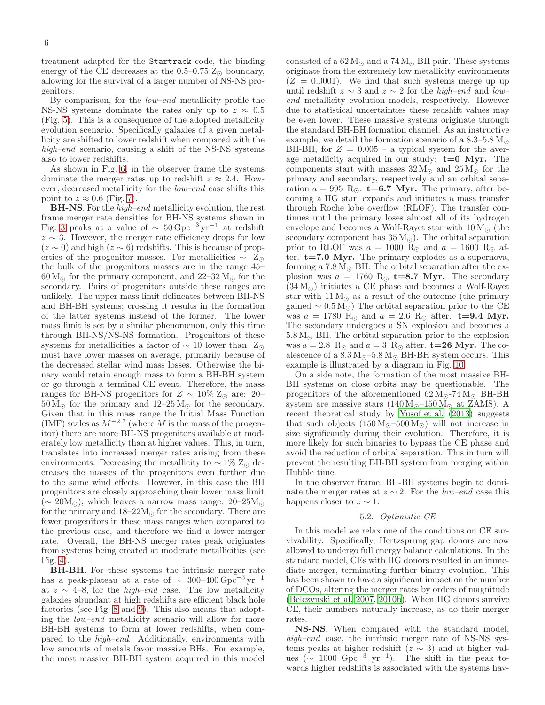treatment adapted for the Startrack code, the binding energy of the CE decreases at the  $0.5-0.75$   $Z_{\odot}$  boundary, allowing for the survival of a larger number of NS-NS progenitors.

By comparison, for the *low–end* metallicity profile the NS-NS systems dominate the rates only up to  $z \approx 0.5$ (Fig. [5\)](#page-14-0). This is a consequence of the adopted metallicity evolution scenario. Specifically galaxies of a given metallicity are shifted to lower redshift when compared with the high–end scenario, causing a shift of the NS-NS systems also to lower redshifts.

As shown in Fig. [6,](#page-15-0) in the observer frame the systems dominate the merger rates up to redshift  $z \approx 2.4$ . However, decreased metallicity for the low–end case shifts this point to  $z \approx 0.6$  (Fig. [7\)](#page-16-0).

BH-NS. For the high–end metallicity evolution, the rest frame merger rate densities for BH-NS systems shown in Fig. [3](#page-12-0) peaks at a value of  $\sim 50 \,\text{Gpc}^{-3} \text{yr}^{-1}$  at redshift  $z \sim 3$ . However, the merger rate efficiency drops for low  $(z \sim 0)$  and high  $(z \sim 6)$  redshifts. This is because of properties of the progenitor masses. For metallicities  $\sim Z_{\odot}$ the bulk of the progenitors masses are in the range 45–  $60\,M_\odot$  for the primary component, and  $22\text{--}32\,\mathrm{M}_\odot$  for the secondary. Pairs of progenitors outside these ranges are unlikely. The upper mass limit delineates between BH-NS and BH-BH systems; crossing it results in the formation of the latter systems instead of the former. The lower mass limit is set by a similar phenomenon, only this time through BH-NS/NS-NS formation. Progenitors of these systems for metallicities a factor of  $\sim$  10 lower than Z<sub>⊙</sub> must have lower masses on average, primarily because of the decreased stellar wind mass losses. Otherwise the binary would retain enough mass to form a BH-BH system or go through a terminal CE event. Therefore, the mass ranges for BH-NS progenitors for  $Z \sim 10\%$  Z<sub>⊙</sub> are: 20–  $50 M_{\odot}$  for the primary and  $12{\text -}25 M_{\odot}$  for the secondary. Given that in this mass range the Initial Mass Function (IMF) scales as  $M^{-2.7}$  (where M is the mass of the progenitor) there are more BH-NS progenitors available at moderately low metallicity than at higher values. This, in turn, translates into increased merger rates arising from these environments. Decreasing the metallicity to  $\sim 1\%$  Z<sub>⊙</sub> decreases the masses of the progenitors even further due to the same wind effects. However, in this case the BH progenitors are closely approaching their lower mass limit  $(\sim 20M_{\odot})$ , which leaves a narrow mass range:  $20-25M_{\odot}$ for the primary and  $18-22M_{\odot}$  for the secondary. There are fewer progenitors in these mass ranges when compared to the previous case, and therefore we find a lower merger rate. Overall, the BH-NS merger rates peak originates from systems being created at moderate metallicities (see Fig. [4\)](#page-13-0).

BH-BH. For these systems the intrinsic merger rate has a peak-plateau at a rate of  $\sim 300-400 \,\text{Gpc}^{-3} \,\text{yr}^{-1}$ at  $z \sim 4-8$ , for the *high–end* case. The low metallicity galaxies abundant at high redshifts are efficient black hole factories (see Fig. [8](#page-17-0) and [9\)](#page-18-0). This also means that adopting the low–end metallicity scenario will allow for more BH-BH systems to form at lower redshifts, when compared to the high–end. Additionally, environments with low amounts of metals favor massive BHs. For example, the most massive BH-BH system acquired in this model

consisted of a  $62 M_{\odot}$  and a  $74 M_{\odot}$  BH pair. These systems originate from the extremely low metallicity environments  $(Z = 0.0001)$ . We find that such systems merge up up until redshift  $z \sim 3$  and  $z \sim 2$  for the high–end and low– end metallicity evolution models, respectively. However due to statistical uncertainties these redshift values may be even lower. These massive systems originate through the standard BH-BH formation channel. As an instructive example, we detail the formation scenario of a  $8.3-5.8 M_{\odot}$ BH-BH, for  $Z = 0.005$  – a typical system for the average metallicity acquired in our study:  $t=0$  Myr. The components start with masses  $32 M_{\odot}$  and  $25 M_{\odot}$  for the primary and secondary, respectively and an orbital separation  $a = 995$  R<sub>☉</sub>. **t=6.7 Myr.** The primary, after becoming a HG star, expands and initiates a mass transfer through Roche lobe overflow (RLOF). The transfer continues until the primary loses almost all of its hydrogen envelope and becomes a Wolf-Rayet star with  $10 M_{\odot}$  (the secondary component has  $35 M_{\odot}$ ). The orbital separation prior to RLOF was  $a = 1000$  R<sub>☉</sub> and  $a = 1600$  R<sub>☉</sub> after.  $t=7.0$  Myr. The primary explodes as a supernova, forming a  $7.8 M_{\odot}$  BH. The orbital separation after the explosion was  $a = 1760 \text{ R}_{\odot}$  **t=8.7 Myr.** The secondary  $(34 M<sub>o</sub>)$  initiates a CE phase and becomes a Wolf-Rayet star with  $11 M_{\odot}$  as a result of the outcome (the primary gained  $\sim 0.5 \,\mathrm{M}_{\odot}$ ) The orbital separation prior to the CE was  $a = 1780 \text{ R}_{\odot}$  and  $a = 2.6 \text{ R}_{\odot}$  after.  $t=9.4 \text{ Myr}$ . The secondary undergoes a SN explosion and becomes a  $5.8 M_{\odot}$  BH. The orbital separation prior to the explosion was  $a = 2.8 \, \text{R}_{\odot}$  and  $a = 3 \, \text{R}_{\odot}$  after. **t=26 Myr.** The coalescence of a  $8.3\,\rm M_\odot$  –5.8  $\rm M_\odot$  BH-BH system occurs. This example is illustrated by a diagram in Fig. [10.](#page-19-0)

On a side note, the formation of the most massive BH-BH systems on close orbits may be questionable. The progenitors of the aforementioned  $62 M_{\odot}$ -74 $M_{\odot}$  BH-BH system are massive stars  $(140 M<sub>o</sub>–150 M<sub>o</sub>)$  at ZAMS). A recent theoretical study by [Yusof et al. \(2013\)](#page-8-50) suggests that such objects  $(150 M_{\odot} - 500 M_{\odot})$  will not increase in size significantly during their evolution. Therefore, it is more likely for such binaries to bypass the CE phase and avoid the reduction of orbital separation. This in turn will prevent the resulting BH-BH system from merging within Hubble time.

In the observer frame, BH-BH systems begin to dominate the merger rates at  $z \sim 2$ . For the *low–end* case this happens closer to  $z \sim 1$ .

#### 5.2. Optimistic CE

<span id="page-5-0"></span>In this model we relax one of the conditions on CE survivability. Specifically, Hertzsprung gap donors are now allowed to undergo full energy balance calculations. In the standard model, CEs with HG donors resulted in an immediate merger, terminating further binary evolution. This has been shown to have a significant impact on the number of DCOs, altering the merger rates by orders of magnitude [\(Belczynski et al. 2007,](#page-8-51) [2010b](#page-8-52)). When HG donors survive CE, their numbers naturally increase, as do their merger rates.

NS-NS. When compared with the standard model, high–end case, the intrinsic merger rate of NS-NS systems peaks at higher redshift ( $z \sim 3$ ) and at higher values ( $\sim 1000 \text{ Gpc}^{-3} \text{ yr}^{-1}$ ). The shift in the peak towards higher redshifts is associated with the systems hav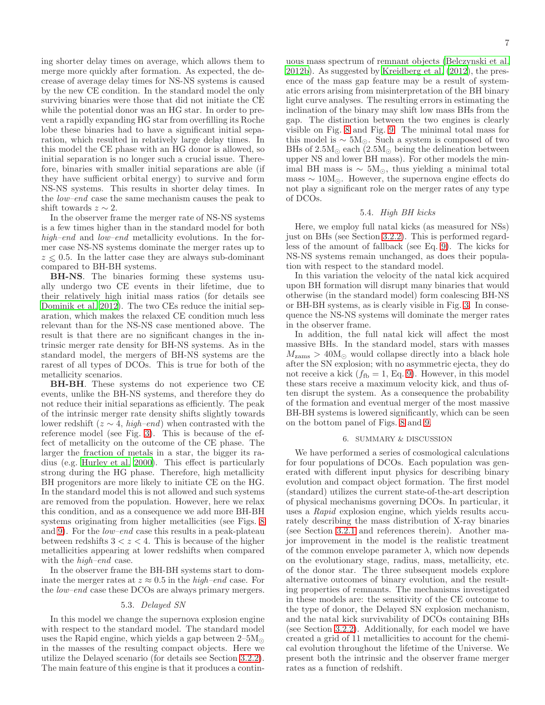ing shorter delay times on average, which allows them to merge more quickly after formation. As expected, the decrease of average delay times for NS-NS systems is caused by the new CE condition. In the standard model the only surviving binaries were those that did not initiate the CE while the potential donor was an HG star. In order to prevent a rapidly expanding HG star from overfilling its Roche lobe these binaries had to have a significant initial separation, which resulted in relatively large delay times. In this model the CE phase with an HG donor is allowed, so initial separation is no longer such a crucial issue. Therefore, binaries with smaller initial separations are able (if they have sufficient orbital energy) to survive and form NS-NS systems. This results in shorter delay times. In the low–end case the same mechanism causes the peak to shift towards  $z \sim 2$ .

In the observer frame the merger rate of NS-NS systems is a few times higher than in the standard model for both high–end and low–end metallicity evolutions. In the former case NS-NS systems dominate the merger rates up to  $z \leq 0.5$ . In the latter case they are always sub-dominant compared to BH-BH systems.

BH-NS. The binaries forming these systems usually undergo two CE events in their lifetime, due to their relatively high initial mass ratios (for details see [Dominik et al. 2012](#page-8-3)). The two CEs reduce the initial separation, which makes the relaxed CE condition much less relevant than for the NS-NS case mentioned above. The result is that there are no significant changes in the intrinsic merger rate density for BH-NS systems. As in the standard model, the mergers of BH-NS systems are the rarest of all types of DCOs. This is true for both of the metallicity scenarios.

BH-BH. These systems do not experience two CE events, unlike the BH-NS systems, and therefore they do not reduce their initial separations as efficiently. The peak of the intrinsic merger rate density shifts slightly towards lower redshift ( $z \sim 4$ , high–end) when contrasted with the reference model (see Fig. [3\)](#page-12-0). This is because of the effect of metallicity on the outcome of the CE phase. The larger the fraction of metals in a star, the bigger its radius (e.g. [Hurley et al. 2000\)](#page-8-22). This effect is particularly strong during the HG phase. Therefore, high metallicity BH progenitors are more likely to initiate CE on the HG. In the standard model this is not allowed and such systems are removed from the population. However, here we relax this condition, and as a consequence we add more BH-BH systems originating from higher metallicities (see Figs. [8](#page-17-0) and [9\)](#page-18-0). For the *low–end* case this results in a peak-plateau between redshifts  $3 < z < 4$ . This is because of the higher metallicities appearing at lower redshifts when compared with the *high–end* case.

In the observer frame the BH-BH systems start to dominate the merger rates at  $z \approx 0.5$  in the *high–end* case. For the low–end case these DCOs are always primary mergers.

### 5.3. Delayed SN

In this model we change the supernova explosion engine with respect to the standard model. The standard model uses the Rapid engine, which yields a gap between  $2-5M_{\odot}$ in the masses of the resulting compact objects. Here we utilize the Delayed scenario (for details see Section [3.2.2\)](#page-3-2). The main feature of this engine is that it produces a continuous mass spectrum of remnant objects [\(Belczynski et al.](#page-8-19) [2012b\)](#page-8-19). As suggested by [Kreidberg et al. \(2012](#page-8-53)), the presence of the mass gap feature may be a result of systematic errors arising from misinterpretation of the BH binary light curve analyses. The resulting errors in estimating the inclination of the binary may shift low mass BHs from the gap. The distinction between the two engines is clearly visible on Fig. [8](#page-17-0) and Fig. [9.](#page-18-0) The minimal total mass for this model is  $\sim 5M_{\odot}$ . Such a system is composed of two BHs of  $2.5M_{\odot}$  each  $(2.5M_{\odot}$  being the delineation between upper NS and lower BH mass). For other models the minimal BH mass is  $\sim 5M_{\odot}$ , thus yielding a minimal total mass  $\sim 10M_{\odot}$ . However, the supernova engine effects do not play a significant role on the merger rates of any type of DCOs.

### 5.4. High BH kicks

Here, we employ full natal kicks (as measured for NSs) just on BHs (see Section [3.2.2\)](#page-3-2). This is performed regardless of the amount of fallback (see Eq. [9\)](#page-3-1). The kicks for NS-NS systems remain unchanged, as does their population with respect to the standard model.

In this variation the velocity of the natal kick acquired upon BH formation will disrupt many binaries that would otherwise (in the standard model) form coalescing BH-NS or BH-BH systems, as is clearly visible in Fig. [3.](#page-12-0) In consequence the NS-NS systems will dominate the merger rates in the observer frame.

In addition, the full natal kick will affect the most massive BHs. In the standard model, stars with masses  $M_{\text{zams}} > 40 \text{M}_{\odot}$  would collapse directly into a black hole after the SN explosion; with no asymmetric ejecta, they do not receive a kick  $(f_{\text{fb}} = 1, \text{Eq. 9})$ . However, in this model these stars receive a maximum velocity kick, and thus often disrupt the system. As a consequence the probability of the formation and eventual merger of the most massive BH-BH systems is lowered significantly, which can be seen on the bottom panel of Figs. [8](#page-17-0) and [9.](#page-18-0)

#### 6. SUMMARY & DISCUSSION

We have performed a series of cosmological calculations for four populations of DCOs. Each population was generated with different input physics for describing binary evolution and compact object formation. The first model (standard) utilizes the current state-of-the-art description of physical mechanisms governing DCOs. In particular, it uses a Rapid explosion engine, which yields results accurately describing the mass distribution of X-ray binaries (see Section [3.2.1](#page-2-2) and references therein). Another major improvement in the model is the realistic treatment of the common envelope parameter  $\lambda$ , which now depends on the evolutionary stage, radius, mass, metallicity, etc. of the donor star. The three subsequent models explore alternative outcomes of binary evolution, and the resulting properties of remnants. The mechanisms investigated in these models are: the sensitivity of the CE outcome to the type of donor, the Delayed SN explosion mechanism, and the natal kick survivability of DCOs containing BHs (see Section [3.2.2\)](#page-3-2). Additionally, for each model we have created a grid of 11 metallicities to account for the chemical evolution throughout the lifetime of the Universe. We present both the intrinsic and the observer frame merger rates as a function of redshift.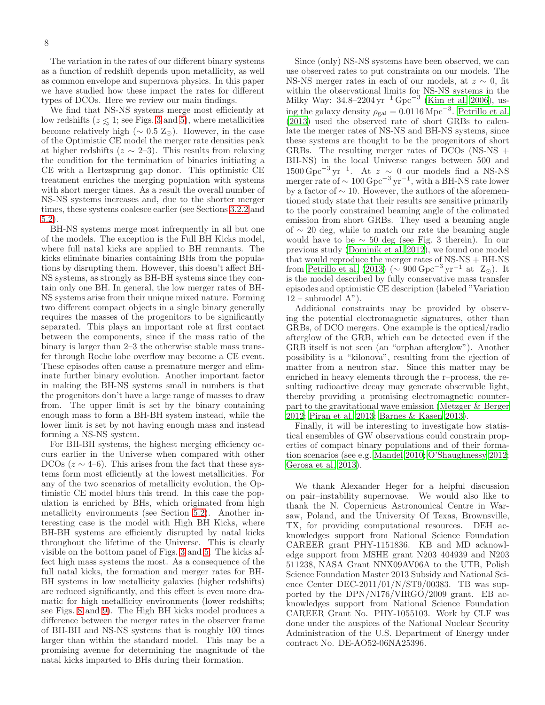The variation in the rates of our different binary systems as a function of redshift depends upon metallicity, as well as common envelope and supernova physics. In this paper we have studied how these impact the rates for different types of DCOs. Here we review our main findings.

We find that NS-NS systems merge most efficiently at low redshifts ( $z \leq 1$ ; see Figs. [3](#page-12-0) and [5\)](#page-14-0), where metallicities become relatively high ( $\sim 0.5 \text{ Z}_{\odot}$ ). However, in the case of the Optimistic CE model the merger rate densities peak at higher redshifts ( $z \sim 2-3$ ). This results from relaxing the condition for the termination of binaries initiating a CE with a Hertzsprung gap donor. This optimistic CE treatment enriches the merging population with systems with short merger times. As a result the overall number of NS-NS systems increases and, due to the shorter merger times, these systems coalesce earlier (see Sections [3.2.2](#page-3-2) and [5.2\)](#page-5-0).

BH-NS systems merge most infrequently in all but one of the models. The exception is the Full BH Kicks model, where full natal kicks are applied to BH remnants. The kicks eliminate binaries containing BHs from the populations by disrupting them. However, this doesn't affect BH-NS systems, as strongly as BH-BH systems since they contain only one BH. In general, the low merger rates of BH-NS systems arise from their unique mixed nature. Forming two different compact objects in a single binary generally requires the masses of the progenitors to be significantly separated. This plays an important role at first contact between the components, since if the mass ratio of the binary is larger than 2–3 the otherwise stable mass transfer through Roche lobe overflow may become a CE event. These episodes often cause a premature merger and eliminate further binary evolution. Another important factor in making the BH-NS systems small in numbers is that the progenitors don't have a large range of masses to draw from. The upper limit is set by the binary containing enough mass to form a BH-BH system instead, while the lower limit is set by not having enough mass and instead forming a NS-NS system.

For BH-BH systems, the highest merging efficiency occurs earlier in the Universe when compared with other DCOs ( $z \sim 4$ –6). This arises from the fact that these systems form most efficiently at the lowest metallicities. For any of the two scenarios of metallicity evolution, the Optimistic CE model blurs this trend. In this case the population is enriched by BHs, which originated from high metallicity environments (see Section [5.2\)](#page-5-0). Another interesting case is the model with High BH Kicks, where BH-BH systems are efficiently disrupted by natal kicks throughout the lifetime of the Universe. This is clearly visible on the bottom panel of Figs. [3](#page-12-0) and [5.](#page-14-0) The kicks affect high mass systems the most. As a consequence of the full natal kicks, the formation and merger rates for BH-BH systems in low metallicity galaxies (higher redshifts) are reduced significantly, and this effect is even more dramatic for high metallicity environments (lower redshifts; see Figs. [8](#page-17-0) and [9\)](#page-18-0). The High BH kicks model produces a difference between the merger rates in the observer frame of BH-BH and NS-NS systems that is roughly 100 times larger than within the standard model. This may be a promising avenue for determining the magnitude of the natal kicks imparted to BHs during their formation.

Since (only) NS-NS systems have been observed, we can use observed rates to put constraints on our models. The NS-NS merger rates in each of our models, at  $z \sim 0$ , fit within the observational limits for NS-NS systems in the Milky Way: 34.8–2204 yr−<sup>1</sup> Gpc−<sup>3</sup> [\(Kim et al. 2006\)](#page-8-54), using the galaxy density  $\rho_{gal} = 0.0116 \,\mathrm{Mpc}^{-3}$ . [Petrillo et al.](#page-8-55) [\(2013](#page-8-55)) used the observed rate of short GRBs to calculate the merger rates of NS-NS and BH-NS systems, since these systems are thought to be the progenitors of short GRBs. The resulting merger rates of DCOs (NS-NS + BH-NS) in the local Universe ranges between 500 and  $1500 \,\mathrm{Gpc}^{-3} \,\mathrm{yr}^{-1}$ . At  $z \sim 0$  our models find a NS-NS merger rate of  $\sim 100 \,\text{Gpc}^{-3} \,\text{yr}^{-1}$ , with a BH-NS rate lower by a factor of ∼ 10. However, the authors of the aforementioned study state that their results are sensitive primarily to the poorly constrained beaming angle of the colimated emission from short GRBs. They used a beaming angle of ∼ 20 deg, while to match our rate the beaming angle would have to be  $\sim$  50 deg (see Fig. 3 therein). In our previous study [\(Dominik et al. 2012\)](#page-8-3), we found one model that would reproduce the merger rates of NS-NS + BH-NS from [Petrillo et al. \(2013\)](#page-8-55) ( $\sim$ 900 Gpc<sup>-3</sup> yr<sup>-1</sup> at Z<sub>⊙</sub>). It is the model described by fully conservative mass transfer episodes and optimistic CE description (labeled "Variation  $12$  – submodel A").

Additional constraints may be provided by observing the potential electromagnetic signatures, other than GRBs, of DCO mergers. One example is the optical/radio afterglow of the GRB, which can be detected even if the GRB itself is not seen (an "orphan afterglow"). Another possibility is a "kilonova", resulting from the ejection of matter from a neutron star. Since this matter may be enriched in heavy elements through the r–process, the resulting radioactive decay may generate observable light, thereby providing a promising electromagnetic counterpart to the gravitational wave emission [\(Metzger & Berger](#page-8-56) [2012;](#page-8-56) [Piran et al. 2013](#page-8-57); [Barnes & Kasen 2013\)](#page-8-58).

Finally, it will be interesting to investigate how statistical ensembles of GW observations could constrain properties of compact binary populations and of their formation scenarios (see e.g. [Mandel 2010;](#page-8-59) [O'Shaughnessy 2012;](#page-8-60) [Gerosa et al. 2013](#page-8-61)).

We thank Alexander Heger for a helpful discussion on pair–instability supernovae. We would also like to thank the N. Copernicus Astronomical Centre in Warsaw, Poland, and the University Of Texas, Brownsville, TX, for providing computational resources. DEH acknowledges support from National Science Foundation CAREER grant PHY-1151836. KB and MD acknowledge support from MSHE grant N203 404939 and N203 511238, NASA Grant NNX09AV06A to the UTB, Polish Science Foundation Master 2013 Subsidy and National Science Center DEC-2011/01/N/ST9/00383. TB was supported by the DPN/N176/VIRGO/2009 grant. EB acknowledges support from National Science Foundation CAREER Grant No. PHY-1055103. Work by CLF was done under the auspices of the National Nuclear Security Administration of the U.S. Department of Energy under contract No. DE-AO52-06NA25396.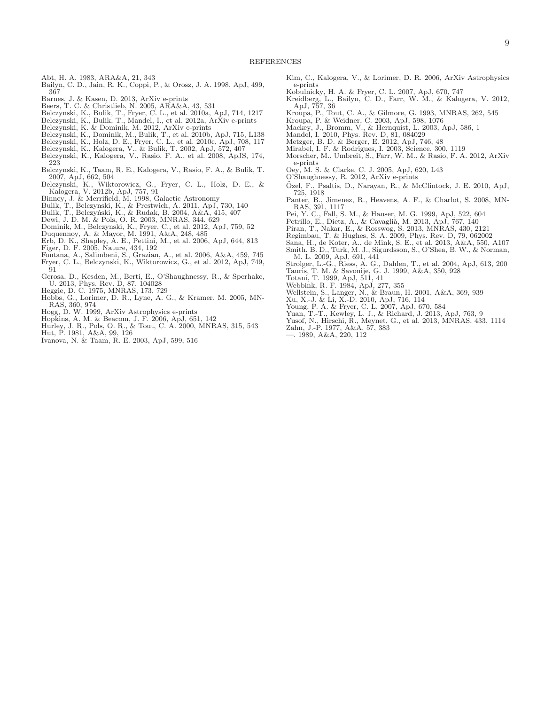- <span id="page-8-38"></span>Abt, H. A. 1983, ARA&A, 21, 343
- <span id="page-8-47"></span>Bailyn, C. D., Jain, R. K., Coppi, P., & Orosz, J. A. 1998, ApJ, 499, 367
- 
- <span id="page-8-18"></span><span id="page-8-17"></span>
- <span id="page-8-58"></span>Barnes, J. & Kasen, D. 2013, ArXiv e-prints Beers, T. C. & Christlieb, N. 2005, ARA&A, 43, 531 Belczynski, K., Bulik, T., Fryer, C. L., et al. 2010a, ApJ, 714, 1217
- <span id="page-8-44"></span>Belczynski, K., Bulik, T., Mandel, I., et al. 2012a, ArXiv e-prints Belczynski, K. & Dominik, M. 2012, ArXiv e-prints
- <span id="page-8-42"></span>
- <span id="page-8-52"></span>Belczynski, K., Dominik, M., Bulik, T., et al. 2010b, ApJ, 715, L138
- <span id="page-8-5"></span>Belczynski, K., Holz, D. E., Fryer, C. L., et al. 2010c, ApJ, 708, 117
- 
- <span id="page-8-21"></span><span id="page-8-20"></span>Belczynski, K., Kalogera, V., & Bulik, T. 2002, ApJ, 572, 407 Belczynski, K., Kalogera, V., Rasio, F. A., et al. 2008, ApJS, 174, 223
- <span id="page-8-51"></span>Belczynski, K., Taam, R. E., Kalogera, V., Rasio, F. A., & Bulik, T. 2007, ApJ, 662, 504
- <span id="page-8-19"></span>Belczynski, K., Wiktorowicz, G., Fryer, C. L., Holz, D. E., & Kalogera, V. 2012b, ApJ, 757, 91 Binney, J. & Merrifield, M. 1998, Galactic Astronomy
- <span id="page-8-16"></span>
- <span id="page-8-43"></span>Bulik, T., Belczynski, K., & Prestwich, A. 2011, ApJ, 730, 140
- <span id="page-8-1"></span>Bulik, T., Belczyński, K., & Rudak, B. 2004, A&A, 415, 407
- <span id="page-8-3"></span>
- <span id="page-8-25"></span>Dewi, J. D. M. & Pols, O. R. 2003, MNRAS, 344, 629 Dominik, M., Belczynski, K., Fryer, C., et al. 2012, ApJ, 759, 52
- <span id="page-8-40"></span><span id="page-8-8"></span>
- Duquennoy, A. & Mayor, M. 1991, A&A, 248, 485 Erb, D. K., Shapley, A. E., Pettini, M., et al. 2006, ApJ, 644, 813 Figer, D. F. 2005, Nature, 434, 192
- <span id="page-8-35"></span>
- <span id="page-8-32"></span><span id="page-8-7"></span>Fontana, A., Salimbeni, S., Grazian, A., et al. 2006, A&A, 459, 745 Fryer, C. L., Belczynski, K., Wiktorowicz, G., et al. 2012, ApJ, 749, 91
- <span id="page-8-61"></span>Gerosa, D., Kesden, M., Berti, E., O'Shaughnessy, R., & Sperhake, U. 2013, Phys. Rev. D, 87, 104028
- <span id="page-8-39"></span>Heggie, D. C. 1975, MNRAS, 173, 729
- <span id="page-8-45"></span>Hobbs, G., Lorimer, D. R., Lyne, A. G., & Kramer, M. 2005, MN-RAS, 360, 974
- <span id="page-8-49"></span>Hogg, D. W. 1999, ArXiv Astrophysics e-prints
- <span id="page-8-11"></span>Hopkins, A. M. & Beacom, J. F. 2006, ApJ, 651, 142
- <span id="page-8-22"></span>Hurley, J. R., Pols, O. R., & Tout, C. A. 2000, MNRAS, 315, 543 Hut, P. 1981, A&A, 99, 126
- <span id="page-8-30"></span>
- <span id="page-8-31"></span>Ivanova, N. & Taam, R. E. 2003, ApJ, 599, 516
- <span id="page-8-54"></span>Kim, C., Kalogera, V., & Lorimer, D. R. 2006, ArXiv Astrophysics e-prints
- <span id="page-8-37"></span>Kobulnicky, H. A. & Fryer, C. L. 2007, ApJ, 670, 747
- <span id="page-8-53"></span>Kreidberg, L., Bailyn, C. D., Farr, W. M., & Kalogera, V. 2012, ApJ, 757, 36 Kroupa, P., Tout, C. A., & Gilmore, G. 1993, MNRAS, 262, 545
- <span id="page-8-33"></span>
- <span id="page-8-34"></span>Kroupa, P. & Weidner, C. 2003, ApJ, 598, 1076 Mackey, J., Bromm, V., & Hernquist, L. 2003, ApJ, 586, 1
- <span id="page-8-14"></span>
- <span id="page-8-59"></span>Mandel, I. 2010, Phys. Rev. D, 81, 084029
- <span id="page-8-56"></span>Metzger, B. D. & Berger, E. 2012, ApJ, 746, 48
- <span id="page-8-46"></span><span id="page-8-4"></span>Mirabel, I. F. & Rodrigues, I. 2003, Science, 300, 1119 Morscher, M., Umbreit, S., Farr, W. M., & Rasio, F. A. 2012, ArXiv e-prints
- <span id="page-8-36"></span>Oey, M. S. & Clarke, C. J. 2005, ApJ, 620, L43
- <span id="page-8-60"></span>O'Shaughnessy, R. 2012, ArXiv e-prints
- <span id="page-8-48"></span>Özel, F., Psaltis, D., Narayan, R., & McClintock, J. E. 2010, ApJ, 725, 1918
- <span id="page-8-13"></span>Panter, B., Jimenez, R., Heavens, A. F., & Charlot, S. 2008, MN-RAS, 391, 1117 Pei, Y. C., Fall, S. M., & Hauser, M. G. 1999, ApJ, 522, 604
- <span id="page-8-10"></span>
- <span id="page-8-55"></span>
- Petrillo, E., Dietz, A., & Cavaglià, M. 2013, ApJ, 767, 140<br>Piran, T., Nakar, E., & Rosswog, S. 2013, MNRAS, 430, 2121
- <span id="page-8-57"></span>
- <span id="page-8-41"></span><span id="page-8-2"></span>Regimbau, T. & Hughes, S. A. 2009, Phys. Rev. D, 79, 062002 Sana, H., de Koter, A., de Mink, S. E., et al. 2013, A&A, 550, A107 Smith, B. D., Turk, M. J., Sigurdsson, S., O'Shea, B. W., & Norman, M. L. 2009, ApJ, 691, 441
- <span id="page-8-15"></span><span id="page-8-6"></span>Strolger, L.-G., Riess, A. G., Dahlen, T., et al. 2004, ApJ, 613, 200
- <span id="page-8-23"></span>Tauris, T. M. & Savonije, G. J. 1999, A&A, 350, 928 Totani, T. 1999, ApJ, 511, 41
- <span id="page-8-0"></span>
- 
- <span id="page-8-26"></span>Webbink, R. F. 1984, ApJ, 277, 355 Wellstein, S., Langer, N., & Braun, H. 2001, A&A, 369, 939
- <span id="page-8-27"></span><span id="page-8-24"></span>Xu, X.-J. & Li, X.-D. 2010, ApJ, 716, 114
- 
- <span id="page-8-9"></span>Young, P. A. & Fryer, C. L. 2007, ApJ, 670, 584 Yuan, T.-T., Kewley, L. J., & Richard, J. 2013, ApJ, 763, 9
- <span id="page-8-50"></span><span id="page-8-12"></span>Yusof, N., Hirschi, R., Meynet, G., et al. 2013, MNRAS, 433, 1114
- <span id="page-8-28"></span>Zahn, J.-P. 1977, A&A, 57, 383
- <span id="page-8-29"></span>—. 1989, A&A, 220, 112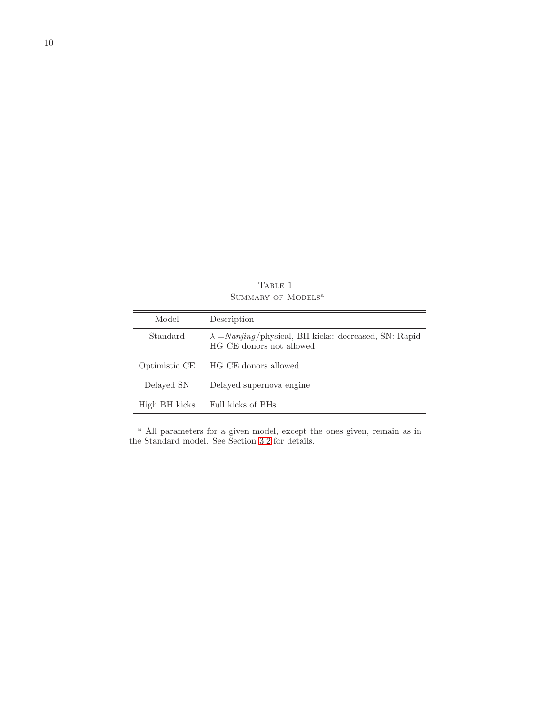TABLE 1  $\operatorname{SUMMARY}$  of  $\operatorname{MoDELS}^a$ 

<span id="page-9-0"></span>

| Model         | Description                                                                               |
|---------------|-------------------------------------------------------------------------------------------|
| Standard      | $\lambda = Nanging$ /physical, BH kicks: decreased, SN: Rapid<br>HG CE donors not allowed |
| Optimistic CE | HG CE donors allowed                                                                      |
| Delayed SN    | Delayed supernova engine                                                                  |
| High BH kicks | Full kicks of BHs                                                                         |

<sup>a</sup> All parameters for a given model, except the ones given, remain as in the Standard model. See Section [3.2](#page-2-0) for details.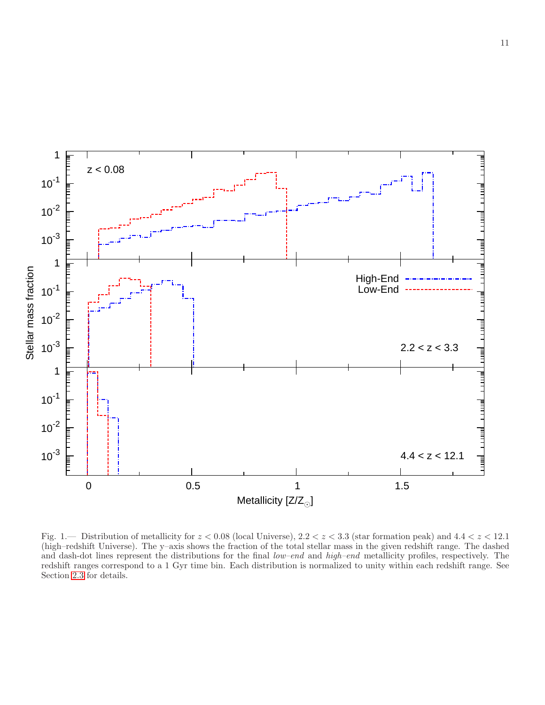

<span id="page-10-0"></span>Fig. 1.— Distribution of metallicity for  $z < 0.08$  (local Universe),  $2.2 < z < 3.3$  (star formation peak) and  $4.4 < z < 12.1$ (high–redshift Universe). The y–axis shows the fraction of the total stellar mass in the given redshift range. The dashed and dash-dot lines represent the distributions for the final low–end and high–end metallicity profiles, respectively. The redshift ranges correspond to a 1 Gyr time bin. Each distribution is normalized to unity within each redshift range. See Section [2.3](#page-1-1) for details.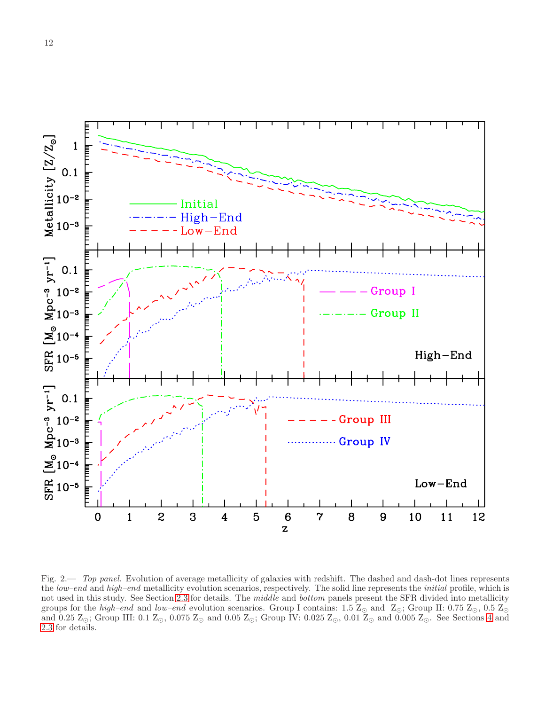

<span id="page-11-0"></span>Fig. 2.— Top panel. Evolution of average metallicity of galaxies with redshift. The dashed and dash-dot lines represents the low–end and high–end metallicity evolution scenarios, respectively. The solid line represents the *initial* profile, which is not used in this study. See Section [2.3](#page-1-1) for details. The middle and bottom panels present the SFR divided into metallicity groups for the high–end and low–end evolution scenarios. Group I contains: 1.5  $\mathbb{Z}_{\odot}$  and  $\mathbb{Z}_{\odot}$ ; Group II: 0.75  $\mathbb{Z}_{\odot}$ , 0.5  $\mathbb{Z}_{\odot}$ and 0.25  $\mathbb{Z}_{\odot}$ ; Group III: 0.1  $\mathbb{Z}_{\odot}$ , 0.075  $\mathbb{Z}_{\odot}$  and 0.05  $\mathbb{Z}_{\odot}$ ; Group IV: 0.025  $\mathbb{Z}_{\odot}$ , 0.01  $\mathbb{Z}_{\odot}$  and 0.005  $\mathbb{Z}_{\odot}$ . See Sections [4](#page-3-0) and [2.3](#page-1-1) for details.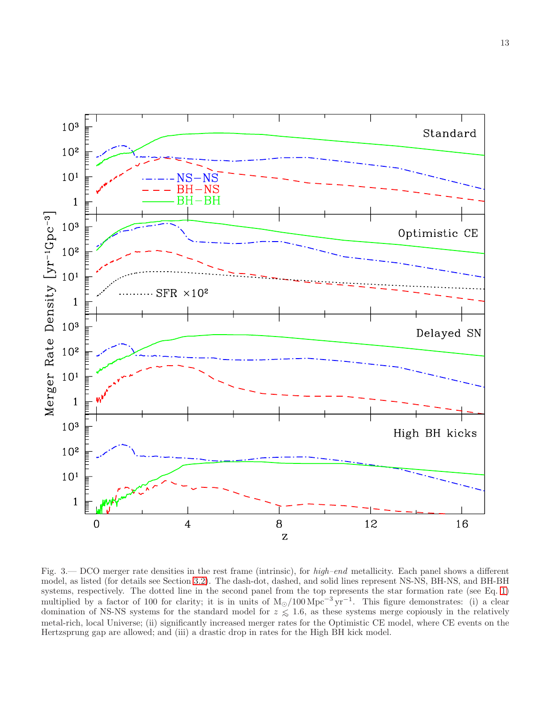

<span id="page-12-0"></span>Fig. 3.— DCO merger rate densities in the rest frame (intrinsic), for high–end metallicity. Each panel shows a different model, as listed (for details see Section [3.2\)](#page-2-0). The dash-dot, dashed, and solid lines represent NS-NS, BH-NS, and BH-BH systems, respectively. The dotted line in the second panel from the top represents the star formation rate (see Eq. [1\)](#page-1-4) multiplied by a factor of 100 for clarity; it is in units of  $M_{\odot}/100 \,\mathrm{Mpc}^{-3} \,\mathrm{yr}^{-1}$ . This figure demonstrates: (i) a clear domination of NS-NS systems for the standard model for  $z \leq 1.6$ , as these systems merge copiously in the relatively metal-rich, local Universe; (ii) significantly increased merger rates for the Optimistic CE model, where CE events on the Hertzsprung gap are allowed; and (iii) a drastic drop in rates for the High BH kick model.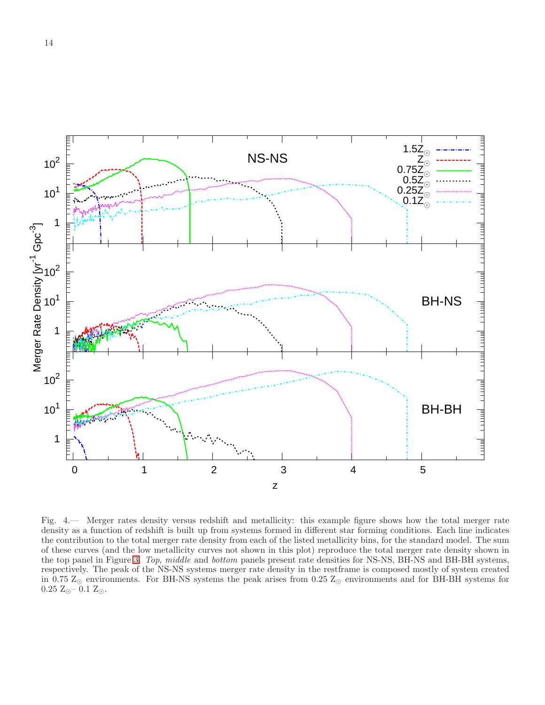

<span id="page-13-0"></span>Fig. 4.— Merger rates density versus redshift and metallicity: this example figure shows how the total merger rate density as a function of redshift is built up from systems formed in different star forming conditions. Each line indicates the contribution to the total merger rate density from each of the listed metallicity bins, for the standard model. The sum of these curves (and the low metallicity curves not shown in this plot) reproduce the total merger rate density shown in the top panel in Figure [3.](#page-12-0) Top, middle and bottom panels present rate densities for NS-NS, BH-NS and BH-BH systems, respectively. The peak of the NS-NS systems merger rate density in the restframe is composed mostly of system created in 0.75  $Z_{\odot}$  environments. For BH-NS systems the peak arises from 0.25  $Z_{\odot}$  environments and for BH-BH systems for  $0.25 \text{ Z}_{\odot}$  –  $0.1 \text{ Z}_{\odot}$ .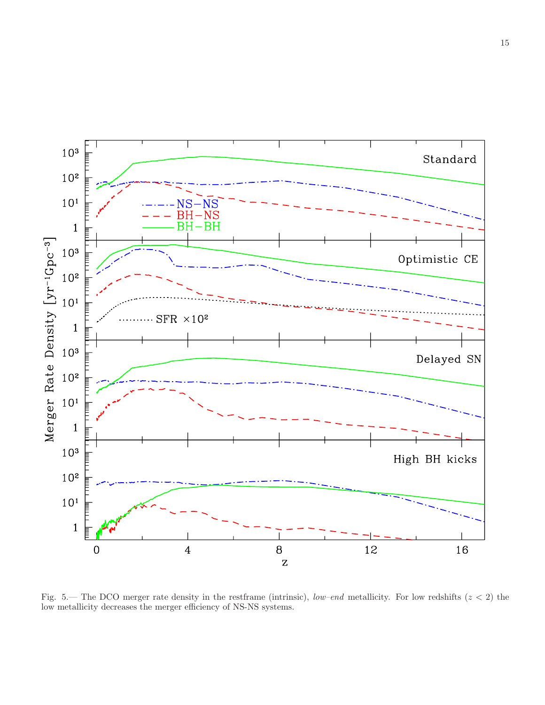

<span id="page-14-0"></span>Fig. 5.— The DCO merger rate density in the restframe (intrinsic), low–end metallicity. For low redshifts  $(z < 2)$  the low metallicity decreases the merger efficiency of NS-NS systems.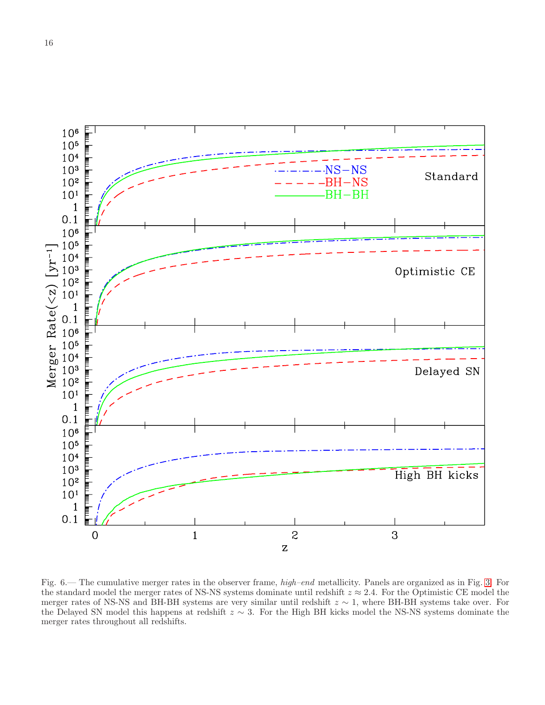

<span id="page-15-0"></span>Fig. 6.— The cumulative merger rates in the observer frame, high–end metallicity. Panels are organized as in Fig. [3.](#page-12-0) For the standard model the merger rates of NS-NS systems dominate until redshift  $z \approx 2.4$ . For the Optimistic CE model the merger rates of NS-NS and BH-BH systems are very similar until redshift  $z \sim 1$ , where BH-BH systems take over. For the Delayed SN model this happens at redshift z ∼ 3. For the High BH kicks model the NS-NS systems dominate the merger rates throughout all redshifts.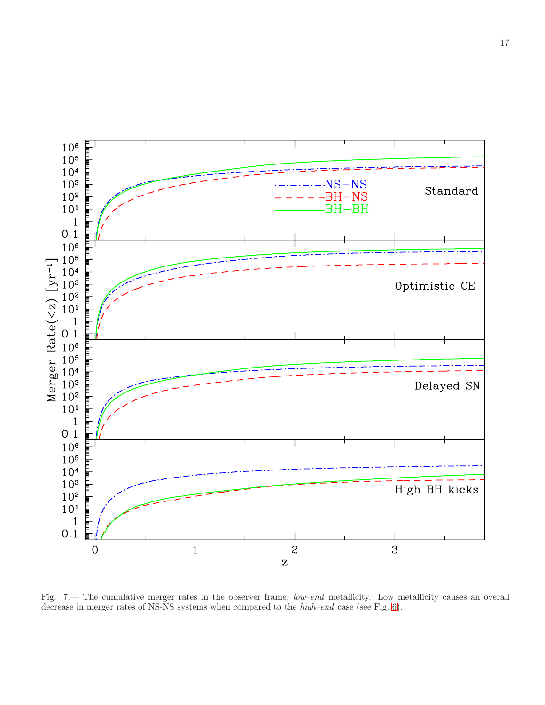

<span id="page-16-0"></span>Fig. 7.— The cumulative merger rates in the observer frame, low–end metallicity. Low metallicity causes an overall decrease in merger rates of NS-NS systems when compared to the high–end case (see Fig. [6\)](#page-15-0).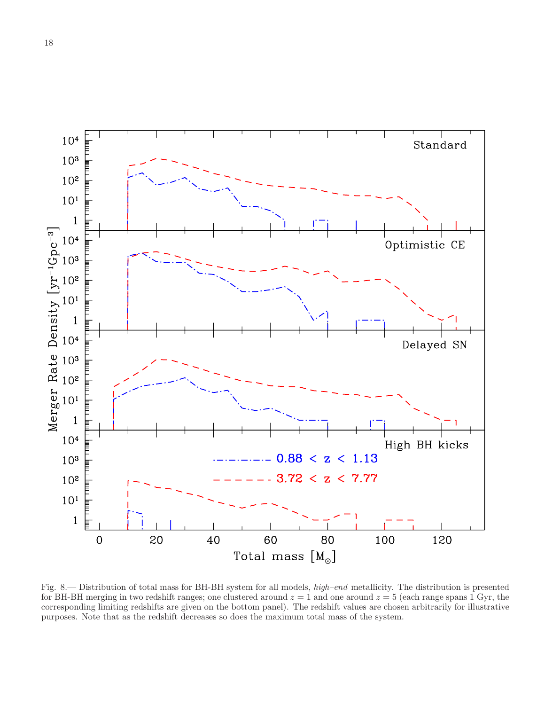

<span id="page-17-0"></span>Fig. 8.— Distribution of total mass for BH-BH system for all models, high–end metallicity. The distribution is presented for BH-BH merging in two redshift ranges; one clustered around  $z = 1$  and one around  $z = 5$  (each range spans 1 Gyr, the corresponding limiting redshifts are given on the bottom panel). The redshift values are chosen arbitrarily for illustrative purposes. Note that as the redshift decreases so does the maximum total mass of the system.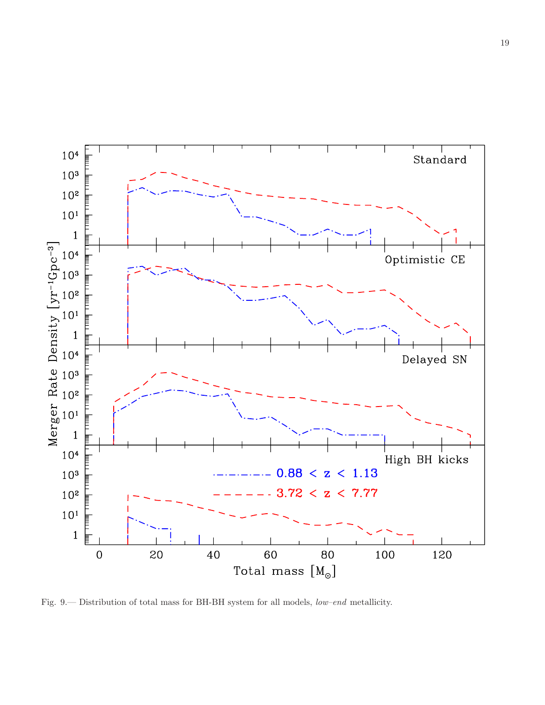

<span id="page-18-0"></span>Fig. 9.— Distribution of total mass for BH-BH system for all models, low–end metallicity.